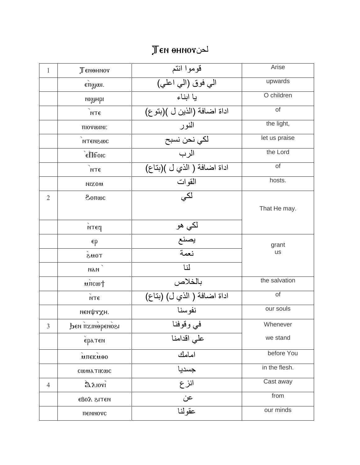## $\mathbb T$ en ohnov

| 1              | Теменнот                                  | قوموا انتم                  | Arise           |
|----------------|-------------------------------------------|-----------------------------|-----------------|
|                | $e\overline{\pi}$ ggun.                   | الي فوق (الي اعلي)          | upwards         |
|                | иімны                                     | يا ابناء                    | O children      |
|                | МТЄ                                       | اداة اضافة (الذين ل )(بتوع) | of              |
|                | πιοτωινι:                                 | النور                       | the light,      |
|                | <b>NTEN&amp;WC</b>                        | لكي نحن نسبح                | let us praise   |
|                | $\epsilon$ <i> <b>E</b></i> <b>I</b> Iбок | الرب                        | the Lord        |
|                | NTE                                       | اداة اضافة ( الذي ل )(بناع) | of              |
|                | <b>MIXOM</b>                              | القوات                      | hosts.          |
| $\overline{2}$ | 30005                                     | لکی                         | That He may.    |
|                | $\overline{\phantom{a}}$<br>мтєч          | لکي هو<br>بصنع<br>نعمة      |                 |
|                | $\epsilon$ p                              |                             | grant           |
|                | <b>TOMS</b>                               |                             | <b>us</b>       |
|                | <b>ИАИ</b>                                | 山                           |                 |
|                | $\mu$ TICWT                               | بالخلاص                     | the salvation   |
|                | NTE                                       | اداة اضافة ( الذي ل) (بتاع) | $\overline{of}$ |
|                | неифаХн.                                  | نفوسنا                      | our souls       |
| $\mathfrak{Z}$ | Бен пальфеноги                            | في وقوفنا                   | Whenever        |
|                | ератем                                    | على اقدامنا                 | we stand        |
|                | <b>ИПЕКИОО</b>                            | امامك                       | before You      |
|                | <b>COULA TIKOC</b>                        | جسديا                       | in the flesh.   |
| $\overline{4}$ | Delori                                    | انزع                        | Cast away       |
|                | кать года                                 | عن                          | from            |
|                | пеммотс                                   | عقو لذا                     | our minds       |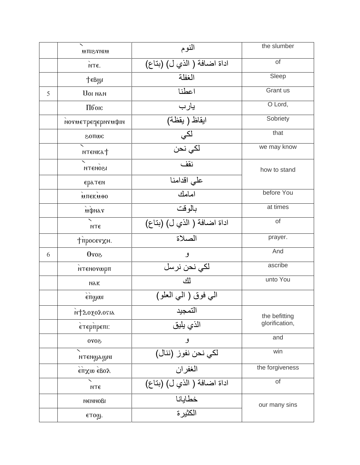|   | <b>MINTSITM</b>                        | النوم                       | the slumber     |
|---|----------------------------------------|-----------------------------|-----------------|
|   | NTE.                                   | اداة اضافة ( الذي ل) (بناع) | of              |
|   | <b>TeBgy</b>                           | الغفلة                      | Sleep           |
| 5 | <b>UOI NAN</b>                         | اعطنا                       | Grant us        |
|   | Пбок                                   | يارب                        | O Lord,         |
|   | потметресерптифии                      | <mark>ابقاظ ( بقظة)</mark>  | Sobriety        |
|   | <b>SOLIMC</b>                          | لکي<br>لکي نحن              | that            |
|   | <b>мтенка</b> †                        |                             | we may know     |
|   | <b>ІЗОИЭТИ</b>                         | نقف                         | how to stand    |
|   | ератем                                 | على اقدامنا                 |                 |
|   | <b>ИПЕКИОО</b>                         | امامك                       | before You      |
|   | uipnar                                 | بالوقت                      | at times        |
|   | МТЄ                                    | اداة اضافة (الذي ل) (بتاع)  | of              |
|   | тпросетхн.                             | الصلاة                      | prayer.         |
| 6 | <b>SorO</b>                            | ٯ                           | And             |
|   | мтємоторп                              | لک <i>ي</i> نحن نرسل        | ascribe         |
|   | NAK                                    | ألك                         | unto You        |
|   | $\bar{\phantom{a}}$<br>$\epsilon$ πώωι | الىي فوق ( الىي العلو)      |                 |
|   | <b>NT202020514</b>                     | التمجيد<br>الذي يليق        | the befitting   |
|   | єтєрпрепі:                             |                             | glorification,  |
|   | 5000                                   | و                           | and             |
|   | птенудуні                              | لكي نحن نفوز (ننال)         | win             |
|   | $\overline{\phantom{a}}$<br>επχω εβολ  | الغفران                     | the forgiveness |
|   | МТЄ                                    | اداة اضافة ( الذي ل) (بناع) | of              |
|   | иєммові                                | خطايانا                     | our many sins   |
|   | $f$ тощ.                               | الكثيرة                     |                 |